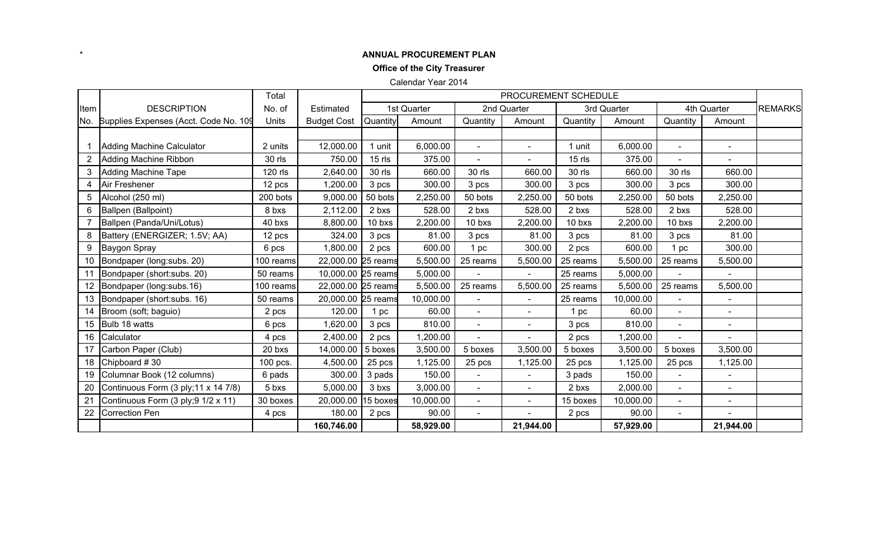#### **ANNUAL PROCUREMENT PLAN**

\*

**Office of the City Treasurer**

Calendar Year 2014

|      |                                       | Total     |                    | PROCUREMENT SCHEDULE |             |                |                |          |             |                |                          |                |
|------|---------------------------------------|-----------|--------------------|----------------------|-------------|----------------|----------------|----------|-------------|----------------|--------------------------|----------------|
| Item | <b>DESCRIPTION</b>                    | No. of    | Estimated          |                      | 1st Quarter |                | 2nd Quarter    |          | 3rd Quarter |                | 4th Quarter              | <b>REMARKS</b> |
| No.  | Supplies Expenses (Acct. Code No. 109 | Units     | <b>Budget Cost</b> | Quantity             | Amount      | Quantity       | Amount         | Quantity | Amount      | Quantity       | Amount                   |                |
|      |                                       |           |                    |                      |             |                |                |          |             |                |                          |                |
|      | Adding Machine Calculator             | 2 units   | 12,000.00          | 1 unit               | 6,000.00    | $\blacksquare$ | $\blacksquare$ | 1 unit   | 6,000.00    | $\blacksquare$ | $\overline{\phantom{a}}$ |                |
| 2    | Adding Machine Ribbon                 | 30 rls    | 750.00             | $15$ rls             | 375.00      |                |                | $15$ rls | 375.00      |                |                          |                |
| 3    | <b>Adding Machine Tape</b>            | 120 rls   | 2,640.00           | 30 rls               | 660.00      | 30 rls         | 660.00         | 30 rls   | 660.00      | 30 rls         | 660.00                   |                |
| 4    | Air Freshener                         | 12 pcs    | 1,200.00           | 3 pcs                | 300.00      | 3 pcs          | 300.00         | 3 pcs    | 300.00      | 3 pcs          | 300.00                   |                |
| 5    | Alcohol (250 ml)                      | 200 bots  | 9,000.00           | 50 bots              | 2,250.00    | 50 bots        | 2,250.00       | 50 bots  | 2,250.00    | 50 bots        | 2,250.00                 |                |
| 6    | Ballpen (Ballpoint)                   | 8 bxs     | 2,112.00           | 2 bxs                | 528.00      | 2 bxs          | 528.00         | 2 bxs    | 528.00      | 2 bxs          | 528.00                   |                |
|      | Ballpen (Panda/Uni/Lotus)             | 40 bxs    | 8,800.00           | 10 bxs               | 2,200.00    | 10 bxs         | 2,200.00       | 10 bxs   | 2,200.00    | 10 bxs         | 2,200.00                 |                |
| 8    | Battery (ENERGIZER; 1.5V; AA)         | 12 pcs    | 324.00             | 3 pcs                | 81.00       | 3 pcs          | 81.00          | 3 pcs    | 81.00       | 3 pcs          | 81.00                    |                |
| 9    | Baygon Spray                          | 6 pcs     | 1,800.00           | 2 pcs                | 600.00      | 1 pc           | 300.00         | 2 pcs    | 600.00      | 1 pc           | 300.00                   |                |
| 10   | Bondpaper (long:subs. 20)             | 100 reams | 22,000.00 25 reams |                      | 5,500.00    | 25 reams       | 5,500.00       | 25 reams | 5,500.00    | 25 reams       | 5,500.00                 |                |
| 11   | Bondpaper (short:subs. 20)            | 50 reams  | 10,000.00 25 reams |                      | 5,000.00    |                |                | 25 reams | 5,000.00    |                |                          |                |
| 12   | Bondpaper (long:subs.16)              | 100 reams | 22,000.00 25 reams |                      | 5,500.00    | 25 reams       | 5,500.00       | 25 reams | 5,500.00    | 25 reams       | 5,500.00                 |                |
| 13   | Bondpaper (short: subs. 16)           | 50 reams  | 20,000.00 25 reams |                      | 10,000.00   | $\blacksquare$ |                | 25 reams | 10,000.00   |                | $\blacksquare$           |                |
| 14   | Broom (soft; baguio)                  | 2 pcs     | 120.00             | 1 pc                 | 60.00       | $\blacksquare$ | $\sim$         | 1 pc     | 60.00       | $\blacksquare$ | $\blacksquare$           |                |
| 15   | Bulb 18 watts                         | 6 pcs     | 1,620.00           | 3 pcs                | 810.00      |                |                | 3 pcs    | 810.00      |                |                          |                |
| 16   | Calculator                            | 4 pcs     | 2,400.00           | 2 pcs                | 1,200.00    |                |                | 2 pcs    | 1,200.00    |                |                          |                |
| 17   | Carbon Paper (Club)                   | 20 bxs    | 14,000.00          | 5 boxes              | 3,500.00    | 5 boxes        | 3,500.00       | 5 boxes  | 3,500.00    | 5 boxes        | 3,500.00                 |                |
| 18   | Chipboard #30                         | 100 pcs.  | 4,500.00           | 25 pcs               | 1,125.00    | 25 pcs         | 1,125.00       | 25 pcs   | 1,125.00    | 25 pcs         | 1,125.00                 |                |
| 19   | Columnar Book (12 columns)            | 6 pads    | 300.00             | 3 pads               | 150.00      |                |                | 3 pads   | 150.00      |                |                          |                |
| 20   | Continuous Form (3 ply; 11 x 14 7/8)  | 5 bxs     | 5,000.00           | 3 bxs                | 3,000.00    |                |                | 2 bxs    | 2,000.00    |                | $\blacksquare$           |                |
| 21   | Continuous Form (3 ply; 9 1/2 x 11)   | 30 boxes  | 20,000.00          | 15 boxes             | 10,000.00   | $\mathbf{r}$   | $\blacksquare$ | 15 boxes | 10,000.00   | $\sim$         | $\blacksquare$           |                |
| 22   | <b>Correction Pen</b>                 | 4 pcs     | 180.00             | 2 pcs                | 90.00       | $\blacksquare$ | $\overline{a}$ | 2 pcs    | 90.00       | $\sim$         |                          |                |
|      |                                       |           | 160,746.00         |                      | 58,929.00   |                | 21,944.00      |          | 57,929.00   |                | 21,944.00                |                |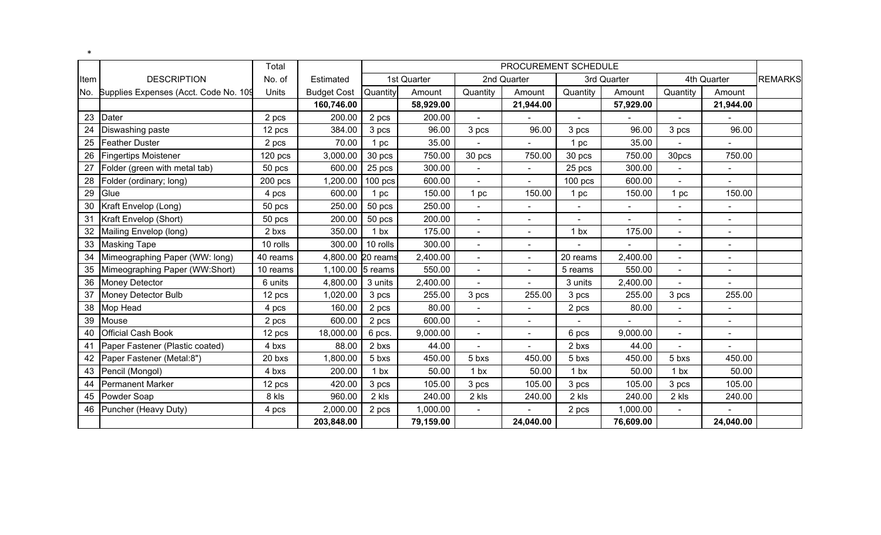|      |                                           | Total     |                    |                   |             |                     | PROCUREMENT SCHEDULE     |                 |             |                 |                          |                |
|------|-------------------------------------------|-----------|--------------------|-------------------|-------------|---------------------|--------------------------|-----------------|-------------|-----------------|--------------------------|----------------|
| Item | <b>DESCRIPTION</b>                        | No. of    | Estimated          |                   | 1st Quarter |                     | 2nd Quarter              |                 | 3rd Quarter |                 | 4th Quarter              | <b>REMARKS</b> |
|      | No. Supplies Expenses (Acct. Code No. 109 | Units     | <b>Budget Cost</b> | Quantity          | Amount      | Quantity            | Amount                   | Quantity        | Amount      | Quantity        | Amount                   |                |
|      |                                           |           | 160,746.00         |                   | 58,929.00   |                     | 21,944.00                |                 | 57,929.00   |                 | 21,944.00                |                |
| 23   | Dater                                     | 2 pcs     | 200.00             | 2 pcs             | 200.00      |                     |                          |                 |             |                 |                          |                |
| 24   | Diswashing paste                          | 12 pcs    | 384.00             | 3 pcs             | 96.00       | 3 pcs               | 96.00                    | 3 pcs           | 96.00       | 3 pcs           | 96.00                    |                |
| 25   | <b>Feather Duster</b>                     | 2 pcs     | 70.00              | 1 pc              | 35.00       |                     |                          | 1 pc            | 35.00       |                 |                          |                |
| 26   | <b>Fingertips Moistener</b>               | $120$ pcs | 3,000.00           | 30 pcs            | 750.00      | 30 pcs              | 750.00                   | 30 pcs          | 750.00      | 30pcs           | 750.00                   |                |
| 27   | Folder (green with metal tab)             | 50 pcs    | 600.00             | 25 pcs            | 300.00      |                     | $\overline{\phantom{a}}$ | 25 pcs          | 300.00      |                 | $\overline{\phantom{a}}$ |                |
| 28   | Folder (ordinary; long)                   | 200 pcs   | 1,200.00           | $100$ pcs         | 600.00      |                     |                          | $100$ pcs       | 600.00      |                 |                          |                |
| 29   | Glue                                      | 4 pcs     | 600.00             | 1 pc              | 150.00      | 1 pc                | 150.00                   | 1 pc            | 150.00      | 1 pc            | 150.00                   |                |
| 30   | Kraft Envelop (Long)                      | 50 pcs    | 250.00             | 50 pcs            | 250.00      |                     |                          |                 |             |                 |                          |                |
| 31   | Kraft Envelop (Short)                     | 50 pcs    | 200.00             | 50 pcs            | 200.00      | $\bar{\phantom{a}}$ | $\blacksquare$           | $\blacksquare$  | $\sim$      | $\blacksquare$  | $\blacksquare$           |                |
| 32   | Mailing Envelop (long)                    | 2 bxs     | 350.00             | 1 <sub>bx</sub>   | 175.00      |                     |                          | 1 <sub>bx</sub> | 175.00      |                 | $\overline{\phantom{a}}$ |                |
| 33   | <b>Masking Tape</b>                       | 10 rolls  | 300.00             | 10 rolls          | 300.00      |                     |                          |                 |             | $\blacksquare$  | $\blacksquare$           |                |
| 34   | Mimeographing Paper (WW: long)            | 40 reams  |                    | 4,800.00 20 reams | 2,400.00    |                     | $\overline{\phantom{a}}$ | 20 reams        | 2,400.00    | $\blacksquare$  | $\blacksquare$           |                |
| 35   | Mimeographing Paper (WW:Short)            | 10 reams  | 1,100.00           | 5 reams           | 550.00      | $\overline{a}$      | $\overline{\phantom{a}}$ | 5 reams         | 550.00      | $\sim$          | $\blacksquare$           |                |
| 36   | <b>Money Detector</b>                     | 6 units   | 4,800.00           | 3 units           | 2,400.00    |                     |                          | 3 units         | 2,400.00    |                 |                          |                |
| 37   | Money Detector Bulb                       | 12 pcs    | 1,020.00           | 3 pcs             | 255.00      | 3 pcs               | 255.00                   | 3 pcs           | 255.00      | 3 pcs           | 255.00                   |                |
| 38   | Mop Head                                  | 4 pcs     | 160.00             | 2 pcs             | 80.00       |                     | $\blacksquare$           | 2 pcs           | 80.00       |                 | $\overline{\phantom{a}}$ |                |
| 39   | Mouse                                     | 2 pcs     | 600.00             | 2 pcs             | 600.00      |                     |                          |                 |             |                 |                          |                |
| 40   | <b>Official Cash Book</b>                 | 12 pcs    | 18,000.00          | 6 pcs.            | 9,000.00    | $\overline{a}$      | $\blacksquare$           | 6 pcs           | 9,000.00    | $\blacksquare$  | $\blacksquare$           |                |
| 41   | Paper Fastener (Plastic coated)           | 4 bxs     | 88.00              | 2 bxs             | 44.00       |                     | $\blacksquare$           | 2 bxs           | 44.00       |                 | $\blacksquare$           |                |
| 42   | Paper Fastener (Metal:8")                 | 20 bxs    | 1,800.00           | 5 bxs             | 450.00      | 5 bxs               | 450.00                   | 5 bxs           | 450.00      | 5 bxs           | 450.00                   |                |
| 43   | Pencil (Mongol)                           | 4 bxs     | 200.00             | 1 <sub>bx</sub>   | 50.00       | 1 <sub>bx</sub>     | 50.00                    | 1 <sub>bx</sub> | 50.00       | 1 <sub>bx</sub> | 50.00                    |                |
| 44   | <b>Permanent Marker</b>                   | 12 pcs    | 420.00             | 3 pcs             | 105.00      | 3 pcs               | 105.00                   | 3 pcs           | 105.00      | 3 pcs           | 105.00                   |                |
| 45   | Powder Soap                               | 8 kls     | 960.00             | 2 kls             | 240.00      | 2 kls               | 240.00                   | 2 kls           | 240.00      | 2 kls           | 240.00                   |                |
| 46   | Puncher (Heavy Duty)                      | 4 pcs     | 2,000.00           | 2 pcs             | 1,000.00    |                     |                          | 2 pcs           | 1,000.00    | $\blacksquare$  |                          |                |
|      |                                           |           | 203,848.00         |                   | 79,159.00   |                     | 24,040.00                |                 | 76,609.00   |                 | 24,040.00                |                |

\*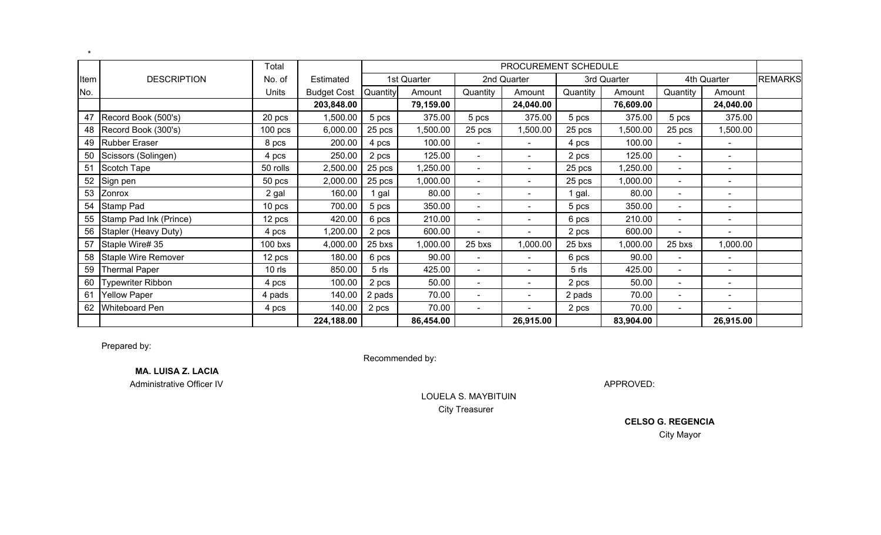|      |                        | Total     |                    |          |             |                              | PROCUREMENT SCHEDULE     |          |             |                          |                              |                |
|------|------------------------|-----------|--------------------|----------|-------------|------------------------------|--------------------------|----------|-------------|--------------------------|------------------------------|----------------|
| Item | <b>DESCRIPTION</b>     | No. of    | Estimated          |          | 1st Quarter |                              | 2nd Quarter              |          | 3rd Quarter |                          | 4th Quarter                  | <b>REMARKS</b> |
| No.  |                        | Units     | <b>Budget Cost</b> | Quantity | Amount      | Quantity                     | Amount                   | Quantity | Amount      | Quantity                 | Amount                       |                |
|      |                        |           | 203,848.00         |          | 79,159.00   |                              | 24,040.00                |          | 76,609.00   |                          | 24,040.00                    |                |
| 47   | Record Book (500's)    | 20 pcs    | 1,500.00           | 5 pcs    | 375.00      | 5 pcs                        | 375.00                   | 5 pcs    | 375.00      | 5 pcs                    | 375.00                       |                |
| 48   | Record Book (300's)    | $100$ pcs | 6,000.00           | 25 pcs   | 1,500.00    | 25 pcs                       | 1,500.00                 | 25 pcs   | 1,500.00    | 25 pcs                   | ,500.00                      |                |
| 49   | <b>Rubber Eraser</b>   | 8 pcs     | 200.00             | 4 pcs    | 100.00      | $\blacksquare$               |                          | 4 pcs    | 100.00      | $\overline{\phantom{a}}$ | $\blacksquare$               |                |
| 50   | Scissors (Solingen)    | 4 pcs     | 250.00             | 2 pcs    | 125.00      | $\blacksquare$               | $\overline{\phantom{0}}$ | 2 pcs    | 125.00      | $\overline{\phantom{a}}$ | $\qquad \qquad \blacksquare$ |                |
| 51   | Scotch Tape            | 50 rolls  | 2,500.00           | 25 pcs   | ,250.00     | $\blacksquare$               | $\overline{\phantom{a}}$ | 25 pcs   | 1,250.00    | $\overline{\phantom{a}}$ | $\overline{\phantom{a}}$     |                |
| 52   | Sign pen               | 50 pcs    | 2,000.00           | 25 pcs   | 1,000.00    | $\blacksquare$               | $\overline{\phantom{0}}$ | 25 pcs   | 1,000.00    | $\sim$                   | $\overline{\phantom{a}}$     |                |
| 53   | Zonrox                 | 2 gal     | 160.00             | 1 gal    | 80.00       | $\blacksquare$               |                          | 1 gal.   | 80.00       | $\overline{\phantom{a}}$ | $\overline{\phantom{a}}$     |                |
| 54   | Stamp Pad              | 10 pcs    | 700.00             | 5 pcs    | 350.00      | $\qquad \qquad \blacksquare$ |                          | 5 pcs    | 350.00      | $\overline{\phantom{a}}$ |                              |                |
| 55   | Stamp Pad Ink (Prince) | 12 pcs    | 420.00             | 6 pcs    | 210.00      | $\overline{\phantom{a}}$     | $\overline{\phantom{a}}$ | 6 pcs    | 210.00      | $\blacksquare$           | $\qquad \qquad \blacksquare$ |                |
| 56   | Stapler (Heavy Duty)   | 4 pcs     | 1,200.00           | 2 pcs    | 600.00      | $\blacksquare$               |                          | 2 pcs    | 600.00      | $\blacksquare$           | $\qquad \qquad \blacksquare$ |                |
| 57   | Staple Wire# 35        | 100 bxs   | 4,000.00           | 25 bxs   | 1,000.00    | 25 bxs                       | 1,000.00                 | 25 bxs   | 1,000.00    | 25 bxs                   | 00.000,                      |                |
| 58   | Staple Wire Remover    | 12 pcs    | 180.00             | 6 pcs    | 90.00       | $\overline{\phantom{a}}$     | $\overline{\phantom{0}}$ | 6 pcs    | 90.00       | $\overline{\phantom{a}}$ | $\qquad \qquad \blacksquare$ |                |
| 59   | <b>Thermal Paper</b>   | $10$ rls  | 850.00             | 5 rls    | 425.00      | $\blacksquare$               | $\overline{\phantom{a}}$ | 5 rls    | 425.00      | $\blacksquare$           | $\overline{\phantom{0}}$     |                |
| 60   | Typewriter Ribbon      | 4 pcs     | 100.00             | 2 pcs    | 50.00       | $\overline{\phantom{a}}$     | $\overline{\phantom{0}}$ | 2 pcs    | 50.00       | $\overline{\phantom{a}}$ | $\overline{\phantom{a}}$     |                |
| 61   | <b>Yellow Paper</b>    | 4 pads    | 140.00             | 2 pads   | 70.00       | $\blacksquare$               | $\overline{\phantom{0}}$ | 2 pads   | 70.00       | $\overline{\phantom{a}}$ | $\blacksquare$               |                |
| 62   | <b>Whiteboard Pen</b>  | 4 pcs     | 140.00             | 2 pcs    | 70.00       | $\overline{\phantom{a}}$     |                          | 2 pcs    | 70.00       | $\overline{\phantom{a}}$ |                              |                |
|      |                        |           | 224,188.00         |          | 86,454.00   |                              | 26,915.00                |          | 83,904.00   |                          | 26,915.00                    |                |

Prepared by:

\*

Recommended by:

**MA. LUISA Z. LACIA**

Administrative Officer IV

APPROVED:

 LOUELA S. MAYBITUINCity Treasurer

> **CELSO G. REGENCIA**City Mayor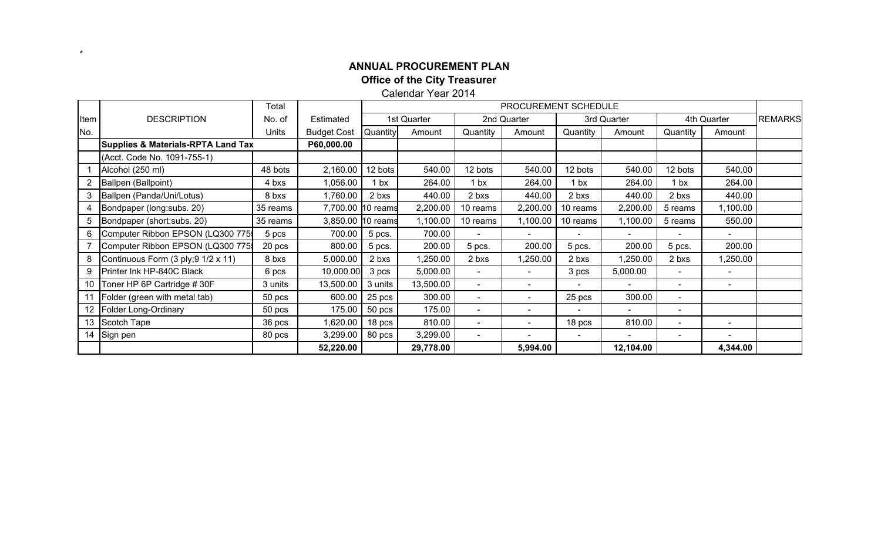# **ANNUAL PROCUREMENT PLANOffice of the City Treasurer** Calendar Year 2014

\*

|      |                                               | Total    |                    | PROCUREMENT SCHEDULE |             |                              |                          |                 |                          |                          |                          |                |
|------|-----------------------------------------------|----------|--------------------|----------------------|-------------|------------------------------|--------------------------|-----------------|--------------------------|--------------------------|--------------------------|----------------|
| Item | <b>DESCRIPTION</b>                            | No. of   | Estimated          |                      | 1st Quarter |                              | 2nd Quarter              |                 | 3rd Quarter              |                          | 4th Quarter              | <b>REMARKS</b> |
| No.  |                                               | Units    | <b>Budget Cost</b> | Quantity             | Amount      | Quantity                     | Amount                   | Quantity        | Amount                   | Quantity                 | Amount                   |                |
|      | <b>Supplies &amp; Materials-RPTA Land Tax</b> |          | P60,000.00         |                      |             |                              |                          |                 |                          |                          |                          |                |
|      | (Acct. Code No. 1091-755-1)                   |          |                    |                      |             |                              |                          |                 |                          |                          |                          |                |
|      | Alcohol (250 ml)                              | 48 bots  | 2,160.00           | 12 bots              | 540.00      | 12 bots                      | 540.00                   | 12 bots         | 540.00                   | 12 bots                  | 540.00                   |                |
| 2    | Ballpen (Ballpoint)                           | 4 bxs    | 1,056.00           | 1 <sub>bx</sub>      | 264.00      | 1 <sub>bx</sub>              | 264.00                   | 1 <sub>bx</sub> | 264.00                   | 1 <sub>bx</sub>          | 264.00                   |                |
| 3    | Ballpen (Panda/Uni/Lotus)                     | 8 bxs    | 1,760.00           | 2 bxs                | 440.00      | 2 bxs                        | 440.00                   | 2 bxs           | 440.00                   | 2 bxs                    | 440.00                   |                |
| 4    | Bondpaper (long: subs. 20)                    | 35 reams |                    | 7,700.00 10 reams    | 2,200.00    | 10 reams                     | 2,200.00                 | 10 reams        | 2,200.00                 | 5 reams                  | 1,100.00                 |                |
| 5    | Bondpaper (short:subs. 20)                    | 35 reams |                    | 3,850.00 10 reams    | 1,100.00    | 10 reams                     | 1,100.00                 | 10 reams        | 1,100.00                 | 5 reams                  | 550.00                   |                |
| 6    | Computer Ribbon EPSON (LQ300 775              | 5 pcs    | 700.00             | 5 pcs.               | 700.00      |                              |                          |                 |                          |                          |                          |                |
|      | Computer Ribbon EPSON (LQ300 775              | 20 pcs   | 800.00             | 5 pcs.               | 200.00      | 5 pcs.                       | 200.00                   | 5 pcs.          | 200.00                   | 5 pcs.                   | 200.00                   |                |
| 8    | Continuous Form (3 ply; 9 1/2 x 11)           | 8 bxs    | 5,000.00           | 2 bxs                | ,250.00     | 2 bxs                        | 1,250.00                 | 2 bxs           | ,250.00                  | 2 bxs                    | 1,250.00                 |                |
| 9    | Printer Ink HP-840C Black                     | 6 pcs    | 10,000.00          | 3 pcs                | 5,000.00    | $\blacksquare$               |                          | 3 pcs           | 5,000.00                 | $\overline{\phantom{a}}$ |                          |                |
| 10   | Toner HP 6P Cartridge #30F                    | 3 units  | 13,500.00          | 3 units              | 13,500.00   | $\overline{\phantom{a}}$     | $\overline{\phantom{a}}$ |                 | $\overline{\phantom{a}}$ | $\sim$                   | $\overline{\phantom{a}}$ |                |
| 11   | Folder (green with metal tab)                 | 50 pcs   | 600.00             | 25 pcs               | 300.00      | $\qquad \qquad \blacksquare$ |                          | 25 pcs          | 300.00                   | $\overline{\phantom{a}}$ |                          |                |
| 12   | Folder Long-Ordinary                          | 50 pcs   | 175.00             | 50 pcs               | 175.00      | $\blacksquare$               |                          |                 | $\overline{\phantom{0}}$ | $\overline{\phantom{a}}$ |                          |                |
| 13   | Scotch Tape                                   | 36 pcs   | 1,620.00           | 18 pcs               | 810.00      | $\qquad \qquad$              |                          | 18 pcs          | 810.00                   | $\overline{\phantom{a}}$ |                          |                |
| 14   | Sign pen                                      | 80 pcs   | 3,299.00           | 80 pcs               | 3,299.00    | $\overline{\phantom{a}}$     |                          |                 |                          | $\overline{\phantom{a}}$ |                          |                |
|      |                                               |          | 52,220.00          |                      | 29,778.00   |                              | 5,994.00                 |                 | 12,104.00                |                          | 4,344.00                 |                |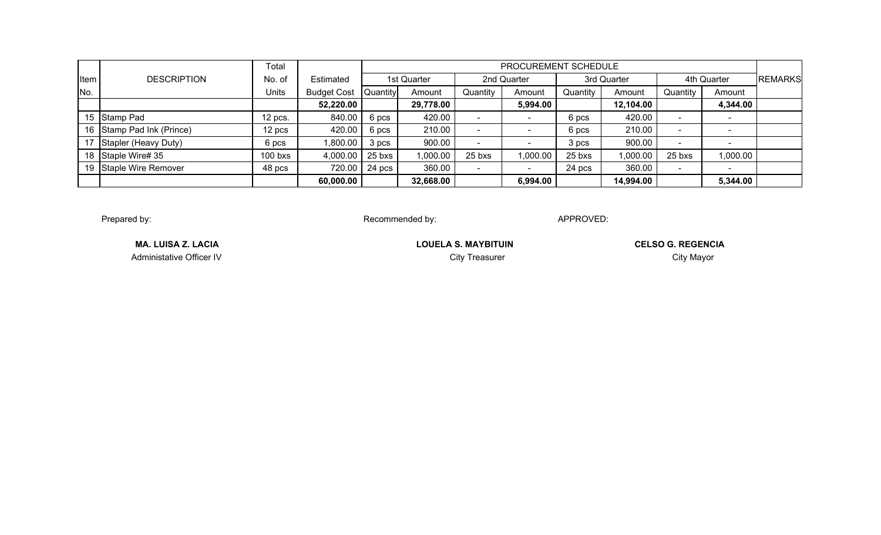|      |                           | Total        |                    |          |             |                              | PROCUREMENT SCHEDULE |          |             |                          |                          |                |
|------|---------------------------|--------------|--------------------|----------|-------------|------------------------------|----------------------|----------|-------------|--------------------------|--------------------------|----------------|
| Item | <b>DESCRIPTION</b>        | No. of       | Estimated          |          | 1st Quarter |                              | 2nd Quarter          |          | 3rd Quarter |                          | 4th Quarter              | <b>REMARKS</b> |
| No.  |                           | <b>Units</b> | <b>Budget Cost</b> | Quantity | Amount      | Quantity                     | Amount               | Quantity | Amount      | Quantity                 | Amount                   |                |
|      |                           |              | 52,220.00          |          | 29,778.00   |                              | 5,994.00             |          | 12,104.00   |                          | 4,344.00                 |                |
|      | 15 Stamp Pad              | 12 pcs.      | 840.00             | 6 pcs    | 420.00      |                              |                      | 6 pcs    | 420.00      | $\overline{\phantom{0}}$ |                          |                |
|      | 16 Stamp Pad Ink (Prince) | 12 pcs       | 420.00             | 6 pcs    | 210.00      | $\sim$                       |                      | 6 pcs    | 210.00      | $\overline{\phantom{0}}$ |                          |                |
| 17   | Stapler (Heavy Duty)      | 6 pcs        | 1,800.00           | 3 pcs    | 900.00      |                              |                      | 3 pcs    | 900.00      | $\overline{\phantom{0}}$ |                          |                |
|      | 18 Staple Wire# 35        | $100$ bxs    | 4,000.00           | 25 bxs   | 1,000.00    | 25 bxs                       | 1,000.00             | 25 bxs   | 1,000.00    | 25 bxs                   | 00.000,                  |                |
|      | 19 Staple Wire Remover    | 48 pcs       | 720.00             | 24 pcs   | 360.00      | $\qquad \qquad \blacksquare$ | <b>.</b>             | 24 pcs   | 360.00      | $\overline{\phantom{a}}$ | $\overline{\phantom{0}}$ |                |
|      |                           |              | 60,000.00          |          | 32,668.00   |                              | 6,994.00             |          | 14,994.00   |                          | 5,344.00                 |                |

Prepared by:

Recommended by: APPROVED:

Administative Officer IV

**MA. LUISA Z. LACIA** LOUELA S. MAYBITUIN

**CELSO G. REGENCIA**City Treasurer **City Mayor**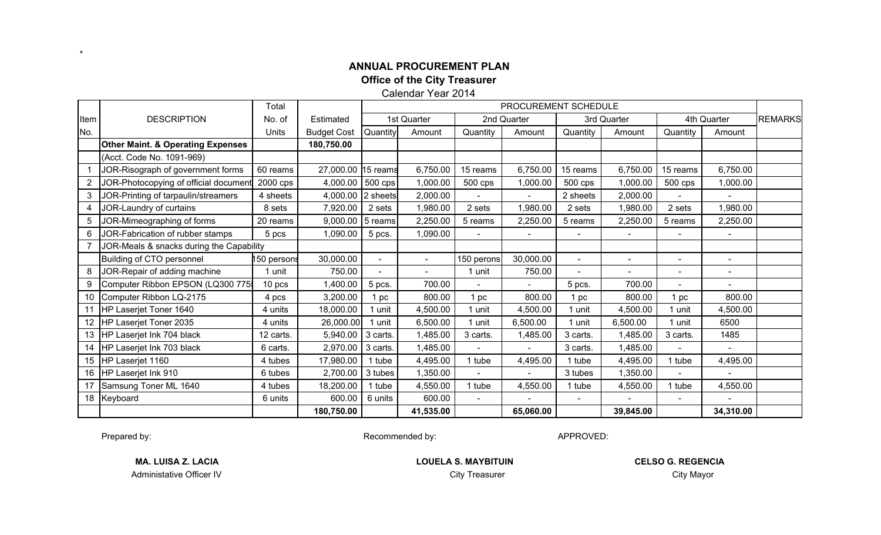Calendar Year 2014

|                       |                                              | Total      |                    | PROCUREMENT SCHEDULE |                |            |                          |                          |                |                          |                          |                |
|-----------------------|----------------------------------------------|------------|--------------------|----------------------|----------------|------------|--------------------------|--------------------------|----------------|--------------------------|--------------------------|----------------|
| Item                  | <b>DESCRIPTION</b>                           | No. of     | Estimated          |                      | 1st Quarter    |            | 2nd Quarter              |                          | 3rd Quarter    |                          | 4th Quarter              | <b>REMARKS</b> |
| No.                   |                                              | Units      | <b>Budget Cost</b> | Quantity             | Amount         | Quantity   | Amount                   | Quantity                 | Amount         | Quantity                 | Amount                   |                |
|                       | <b>Other Maint. &amp; Operating Expenses</b> |            | 180,750.00         |                      |                |            |                          |                          |                |                          |                          |                |
|                       | (Acct. Code No. 1091-969)                    |            |                    |                      |                |            |                          |                          |                |                          |                          |                |
|                       | JOR-Risograph of government forms            | 60 reams   | 27,000.00 15 reams |                      | 6,750.00       | 15 reams   | 6,750.00                 | 15 reams                 | 6,750.00       | 15 reams                 | 6,750.00                 |                |
| $\mathbf{2}^{\prime}$ | JOR-Photocopying of official document        | 2000 cps   | 4,000.00 500 cps   |                      | 1,000.00       | 500 cps    | 1,000.00                 | 500 cps                  | 1,000.00       | 500 cps                  | 1,000.00                 |                |
| 3                     | JOR-Printing of tarpaulin/streamers          | 4 sheets   | 4,000.00 2 sheets  |                      | 2,000.00       |            | $\sim$                   | 2 sheets                 | 2,000.00       |                          | $\sim$                   |                |
| 4                     | JOR-Laundry of curtains                      | 8 sets     | 7,920.00           | 2 sets               | 1,980.00       | 2 sets     | 1,980.00                 | 2 sets                   | 1,980.00       | 2 sets                   | 1,980.00                 |                |
| 5                     | JOR-Mimeographing of forms                   | 20 reams   | 9,000.00           | 5 reams              | 2,250.00       | 5 reams    | 2,250.00                 | 5 reams                  | 2,250.00       | 5 reams                  | 2,250.00                 |                |
| 6                     | JOR-Fabrication of rubber stamps             | 5 pcs      | 1,090.00           | 5 pcs.               | 1,090.00       |            | $\overline{\phantom{a}}$ | $\overline{\phantom{0}}$ | $\blacksquare$ |                          | $\overline{\phantom{a}}$ |                |
|                       | JOR-Meals & snacks during the Capability     |            |                    |                      |                |            |                          |                          |                |                          |                          |                |
|                       | Building of CTO personnel                    | 50 persons | 30,000.00          | $\blacksquare$       | $\blacksquare$ | 150 perons | 30,000.00                | $\sim$                   | $\blacksquare$ | $\overline{\phantom{a}}$ | $\blacksquare$           |                |
| 8                     | JOR-Repair of adding machine                 | 1 unit     | 750.00             |                      |                | 1 unit     | 750.00                   | $\overline{\phantom{0}}$ | $\blacksquare$ |                          | $\blacksquare$           |                |
| 9                     | Computer Ribbon EPSON (LQ300 775             | 10 pcs     | 1,400.00           | 5 pcs.               | 700.00         |            |                          | 5 pcs.                   | 700.00         |                          | $\overline{\phantom{0}}$ |                |
| 10                    | Computer Ribbon LQ-2175                      | 4 pcs      | 3,200.00           | 1 pc                 | 800.00         | 1 pc       | 800.00                   | 1 pc                     | 800.00         | pc                       | 800.00                   |                |
| 11                    | HP Laserjet Toner 1640                       | 4 units    | 18,000.00          | unit                 | 4,500.00       | 1 unit     | 4,500.00                 | 1 unit                   | 4,500.00       | unit                     | 4,500.00                 |                |
| 12                    | HP Laserjet Toner 2035                       | 4 units    | 26,000.00          | unit                 | 6,500.00       | 1 unit     | 6,500.00                 | 1 unit                   | 6,500.00       | 1 unit                   | 6500                     |                |
| 13                    | HP Laserjet Ink 704 black                    | 12 carts.  | 5,940.00           | 3 carts.             | ,485.00        | 3 carts.   | 1,485.00                 | 3 carts.                 | 1,485.00       | 3 carts.                 | 1485                     |                |
| 14                    | HP Laserjet Ink 703 black                    | 6 carts.   | 2,970.00           | 3 carts.             | ,485.00        |            |                          | 3 carts.                 | 1,485.00       |                          |                          |                |
| 15                    | HP Laserjet 1160                             | 4 tubes    | 17,980.00          | I tube               | 4,495.00       | 1 tube     | 4,495.00                 | 1 tube                   | 4,495.00       | 1 tube                   | 4,495.00                 |                |
| 16                    | HP Laserjet Ink 910                          | 6 tubes    | 2,700.00           | 3 tubes              | 1,350.00       |            |                          | 3 tubes                  | 1,350.00       |                          |                          |                |
| 17                    | Samsung Toner ML 1640                        | 4 tubes    | 18,200.00          | I tube               | 4,550.00       | 1 tube     | 4,550.00                 | 1 tube                   | 4,550.00       | 1 tube                   | 4,550.00                 |                |
| 18                    | Keyboard                                     | 6 units    | 600.00             | 6 units              | 600.00         |            |                          |                          |                |                          |                          |                |
|                       |                                              |            | 180,750.00         |                      | 41,535.00      |            | 65,060.00                |                          | 39,845.00      |                          | 34,310.00                |                |

Prepared by:

\*

Recommended by: APPROVED:

Administative Officer IV

**MA. LUISA Z. LACIA LOUELA S. MAYBITUIN** City Treasurer **City Mayor**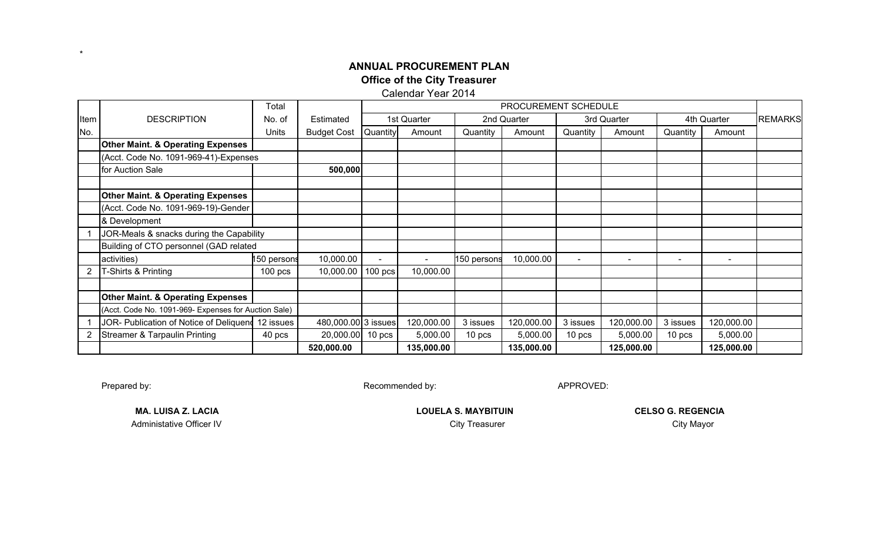Calendar Year 2014

|      |                                                      | Total       |                     | PROCUREMENT SCHEDULE |                |             |             |                          |                          |                          |                          |                |
|------|------------------------------------------------------|-------------|---------------------|----------------------|----------------|-------------|-------------|--------------------------|--------------------------|--------------------------|--------------------------|----------------|
| Item | <b>DESCRIPTION</b>                                   | No. of      | Estimated           |                      | 1st Quarter    |             | 2nd Quarter |                          | 3rd Quarter              |                          | 4th Quarter              | <b>REMARKS</b> |
| No.  |                                                      | Units       | <b>Budget Cost</b>  | Quantity             | Amount         | Quantity    | Amount      | Quantity                 | Amount                   | Quantity                 | Amount                   |                |
|      | <b>Other Maint. &amp; Operating Expenses</b>         |             |                     |                      |                |             |             |                          |                          |                          |                          |                |
|      | (Acct. Code No. 1091-969-41)-Expenses                |             |                     |                      |                |             |             |                          |                          |                          |                          |                |
|      | for Auction Sale                                     |             | 500,000             |                      |                |             |             |                          |                          |                          |                          |                |
|      |                                                      |             |                     |                      |                |             |             |                          |                          |                          |                          |                |
|      | <b>Other Maint. &amp; Operating Expenses</b>         |             |                     |                      |                |             |             |                          |                          |                          |                          |                |
|      | (Acct. Code No. 1091-969-19)-Gender                  |             |                     |                      |                |             |             |                          |                          |                          |                          |                |
|      | & Development                                        |             |                     |                      |                |             |             |                          |                          |                          |                          |                |
|      | JOR-Meals & snacks during the Capability             |             |                     |                      |                |             |             |                          |                          |                          |                          |                |
|      | Building of CTO personnel (GAD related               |             |                     |                      |                |             |             |                          |                          |                          |                          |                |
|      | activities)                                          | 150 persons | 10,000.00           | $\blacksquare$       | $\blacksquare$ | 150 persons | 10,000.00   | $\overline{\phantom{a}}$ | $\overline{\phantom{a}}$ | $\overline{\phantom{a}}$ | $\overline{\phantom{a}}$ |                |
|      | T-Shirts & Printing                                  | $100$ pcs   | 10,000.00           | $100$ pcs            | 10,000.00      |             |             |                          |                          |                          |                          |                |
|      |                                                      |             |                     |                      |                |             |             |                          |                          |                          |                          |                |
|      | <b>Other Maint. &amp; Operating Expenses</b>         |             |                     |                      |                |             |             |                          |                          |                          |                          |                |
|      | (Acct. Code No. 1091-969- Expenses for Auction Sale) |             |                     |                      |                |             |             |                          |                          |                          |                          |                |
|      | JOR- Publication of Notice of Deliquend 12 issues    |             | 480,000.00 3 issues |                      | 120,000.00     | 3 issues    | 120,000.00  | 3 issues                 | 120,000.00               | 3 issues                 | 120,000.00               |                |
|      | <b>Streamer &amp; Tarpaulin Printing</b>             | 40 pcs      | 20,000.00           | 10 <sub>pcs</sub>    | 5,000.00       | 10 pcs      | 5,000.00    | 10 <sub>pcs</sub>        | 5,000.00                 | 10 <sub>pos</sub>        | 5,000.00                 |                |
|      |                                                      |             | 520,000.00          |                      | 135,000.00     |             | 135,000.00  |                          | 125,000.00               |                          | 125,000.00               |                |

Prepared by:

\*

Recommended by: APPROVED:

Administative Officer IV

**MA. LUISA Z. LACIA LOUELA S. MAYBITUIN** V City Treasurer Communication City Treasurer City Mayor City Mayor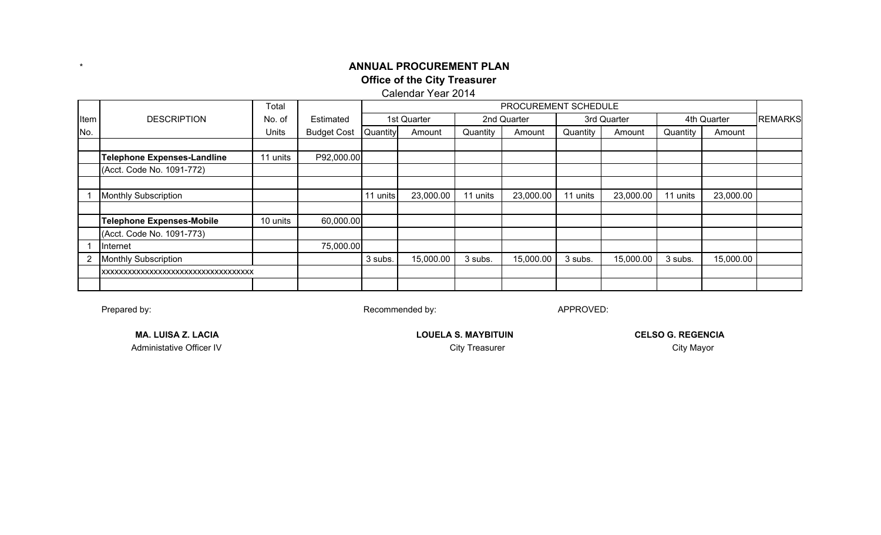#### Calendar Year 2014

|      |                                       | Total    |                    |          |             |          | PROCUREMENT SCHEDULE |          |             |          |             |                |
|------|---------------------------------------|----------|--------------------|----------|-------------|----------|----------------------|----------|-------------|----------|-------------|----------------|
| Item | <b>DESCRIPTION</b>                    | No. of   | Estimated          |          | 1st Quarter |          | 2nd Quarter          |          | 3rd Quarter |          | 4th Quarter | <b>REMARKS</b> |
| No.  |                                       | Units    | <b>Budget Cost</b> | Quantity | Amount      | Quantity | Amount               | Quantity | Amount      | Quantity | Amount      |                |
|      |                                       |          |                    |          |             |          |                      |          |             |          |             |                |
|      | Telephone Expenses-Landline           | 11 units | P92,000.00         |          |             |          |                      |          |             |          |             |                |
|      | (Acct. Code No. 1091-772)             |          |                    |          |             |          |                      |          |             |          |             |                |
|      |                                       |          |                    |          |             |          |                      |          |             |          |             |                |
|      | <b>Monthly Subscription</b>           |          |                    | 11 units | 23,000.00   | 11 units | 23,000.00            | 11 units | 23,000.00   | 11 units | 23,000.00   |                |
|      |                                       |          |                    |          |             |          |                      |          |             |          |             |                |
|      | Telephone Expenses-Mobile             | 10 units | 60,000.00          |          |             |          |                      |          |             |          |             |                |
|      | (Acct. Code No. 1091-773)             |          |                    |          |             |          |                      |          |             |          |             |                |
|      | Internet                              |          | 75,000.00          |          |             |          |                      |          |             |          |             |                |
| 2    | <b>Monthly Subscription</b>           |          |                    | 3 subs.  | 15,000.00   | 3 subs.  | 15,000.00            | 3 subs.  | 15,000.00   | 3 subs.  | 15,000.00   |                |
|      | IXXXXXXXXXXXXXXXXXXXXXXXXXXXXXXXXXXXX |          |                    |          |             |          |                      |          |             |          |             |                |
|      |                                       |          |                    |          |             |          |                      |          |             |          |             |                |

Prepared by:

\*

Recommended by: APPROVED:

Administative Officer IV

**MA. LUISA Z. LACIA LOUELA S. MAYBITUIN** 

City Treasurer **City Mayor CELSO G. REGENCIA**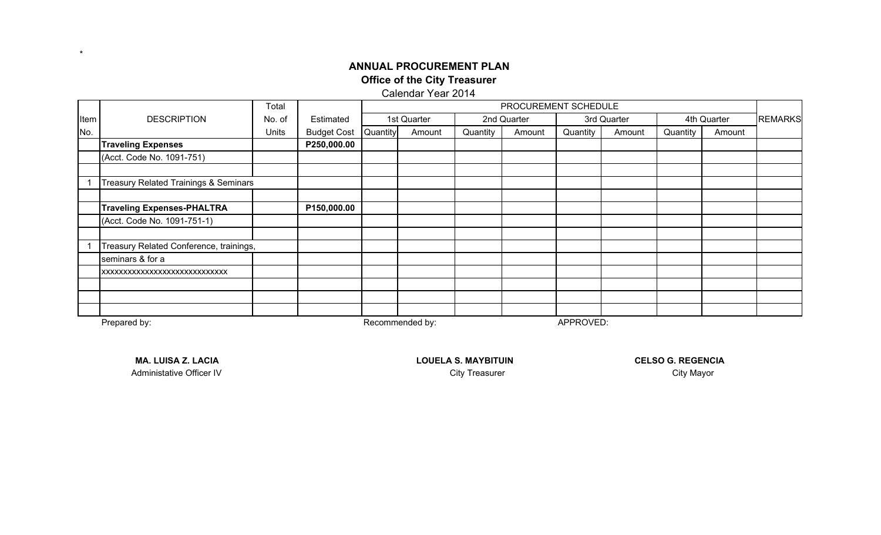Calendar Year 2014

|      |                                                  | Total  |                    | PROCUREMENT SCHEDULE |             |          |             |          |             |          |             |                |
|------|--------------------------------------------------|--------|--------------------|----------------------|-------------|----------|-------------|----------|-------------|----------|-------------|----------------|
| Item | <b>DESCRIPTION</b>                               | No. of | Estimated          |                      | 1st Quarter |          | 2nd Quarter |          | 3rd Quarter |          | 4th Quarter | <b>REMARKS</b> |
| No.  |                                                  | Units  | <b>Budget Cost</b> | Quantity             | Amount      | Quantity | Amount      | Quantity | Amount      | Quantity | Amount      |                |
|      | <b>Traveling Expenses</b>                        |        | P250,000.00        |                      |             |          |             |          |             |          |             |                |
|      | (Acct. Code No. 1091-751)                        |        |                    |                      |             |          |             |          |             |          |             |                |
|      |                                                  |        |                    |                      |             |          |             |          |             |          |             |                |
|      | <b>Treasury Related Trainings &amp; Seminars</b> |        |                    |                      |             |          |             |          |             |          |             |                |
|      |                                                  |        |                    |                      |             |          |             |          |             |          |             |                |
|      | <b>Traveling Expenses-PHALTRA</b>                |        | P150,000.00        |                      |             |          |             |          |             |          |             |                |
|      | (Acct. Code No. 1091-751-1)                      |        |                    |                      |             |          |             |          |             |          |             |                |
|      |                                                  |        |                    |                      |             |          |             |          |             |          |             |                |
|      | Treasury Related Conference, trainings,          |        |                    |                      |             |          |             |          |             |          |             |                |
|      | seminars & for a                                 |        |                    |                      |             |          |             |          |             |          |             |                |
|      | XXXXXXXXXXXXXXXXXXXXXXXXXXXXX                    |        |                    |                      |             |          |             |          |             |          |             |                |
|      |                                                  |        |                    |                      |             |          |             |          |             |          |             |                |
|      |                                                  |        |                    |                      |             |          |             |          |             |          |             |                |
|      |                                                  |        |                    |                      |             |          |             |          |             |          |             |                |

Prepared by:

 $\star$ 

Recommended by: APPROVED:

Administative Officer IV

**MA. LUISA Z. LACIA LOUELA S. MAYBITUIN** 

**CELSO G. REGENCIA**City Treasurer **City Mayor**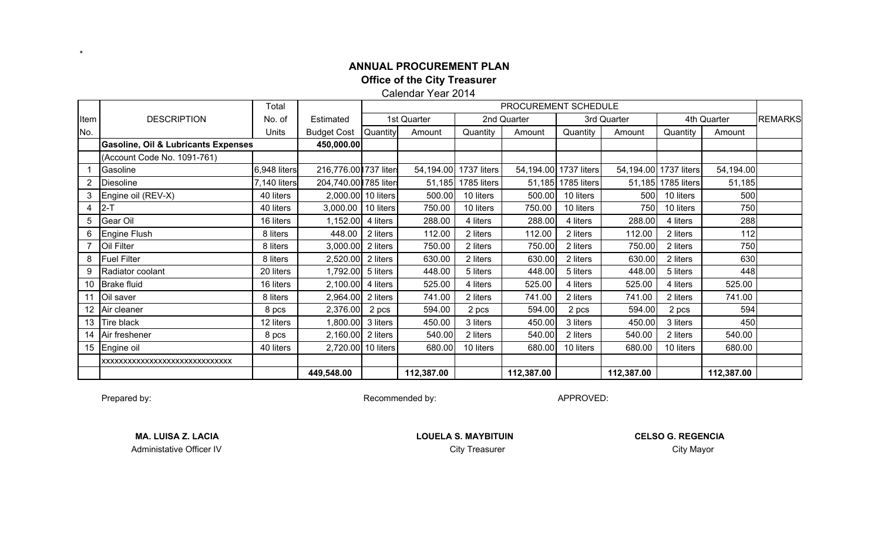Calendar Year 2014

|      |                                                | Total        |                       | PROCUREMENT SCHEDULE |             |             |             |                       |             |                       |             |                |
|------|------------------------------------------------|--------------|-----------------------|----------------------|-------------|-------------|-------------|-----------------------|-------------|-----------------------|-------------|----------------|
| Item | <b>DESCRIPTION</b>                             | No. of       | Estimated             |                      | 1st Quarter |             | 2nd Quarter |                       | 3rd Quarter |                       | 4th Quarter | <b>REMARKS</b> |
| No.  |                                                | Units        | <b>Budget Cost</b>    | Quantity             | Amount      | Quantity    | Amount      | Quantity              | Amount      | Quantity              | Amount      |                |
|      | <b>Gasoline, Oil &amp; Lubricants Expenses</b> |              | 450,000.00            |                      |             |             |             |                       |             |                       |             |                |
|      | (Account Code No. 1091-761)                    |              |                       |                      |             |             |             |                       |             |                       |             |                |
|      | Gasoline                                       | 6,948 liters | 216,776.00 737 liters |                      | 54,194.00   | 1737 liters |             | 54,194.00 1737 liters |             | 54,194.00 1737 liters | 54,194.00   |                |
| 2    | <b>Diesoline</b>                               | 7,140 liters | 204,740.00 785 liters |                      | 51,185      | 1785 liters |             | 51,185 1785 liters    |             | 51,185 1785 liters    | 51,185      |                |
| 3    | Engine oil (REV-X)                             | 40 liters    |                       | 2,000.00 10 liters   | 500.00      | 10 liters   | 500.00      | 10 liters             | 500         | 10 liters             | 500         |                |
| 4    | $ 2-T$                                         | 40 liters    | 3,000.00   10 liters  |                      | 750.00      | 10 liters   | 750.00      | 10 liters             | 750         | 10 liters             | 750         |                |
| 5    | Gear Oil                                       | 16 liters    | 1,152.00              | 4 liters             | 288.00      | 4 liters    | 288.00      | 4 liters              | 288.00      | 4 liters              | 288         |                |
| 6    | Engine Flush                                   | 8 liters     | 448.00                | 2 liters             | 112.00      | 2 liters    | 112.00      | 2 liters              | 112.00      | 2 liters              | 112         |                |
|      | Oil Filter                                     | 8 liters     | 3,000.00              | 2 liters             | 750.00      | 2 liters    | 750.00      | 2 liters              | 750.00      | 2 liters              | 750         |                |
| 8    | <b>Fuel Filter</b>                             | 8 liters     | 2,520.00              | 2 liters             | 630.00      | 2 liters    | 630.00      | 2 liters              | 630.00      | 2 liters              | 630         |                |
| 9    | Radiator coolant                               | 20 liters    | 1,792.00              | 5 liters             | 448.00      | 5 liters    | 448.00      | 5 liters              | 448.00      | 5 liters              | 448         |                |
| 10   | Brake fluid                                    | 16 liters    | 2,100.00              | 4 liters             | 525.00      | 4 liters    | 525.00      | 4 liters              | 525.00      | 4 liters              | 525.00      |                |
| 11   | Oil saver                                      | 8 liters     | 2,964.00              | 2 liters             | 741.00      | 2 liters    | 741.00      | 2 liters              | 741.00      | 2 liters              | 741.00      |                |
| 12   | Air cleaner                                    | 8 pcs        | 2,376.00              | 2 pcs                | 594.00      | 2 pcs       | 594.00      | 2 pcs                 | 594.00      | 2 pcs                 | 594         |                |
| 13   | Tire black                                     | 12 liters    | 1,800.00              | 3 liters             | 450.00      | 3 liters    | 450.00      | 3 liters              | 450.00      | 3 liters              | 450         |                |
| 14   | Air freshener                                  | 8 pcs        | 2,160.00              | 2 liters             | 540.00      | 2 liters    | 540.00      | 2 liters              | 540.00      | 2 liters              | 540.00      |                |
| 15   | Engine oil                                     | 40 liters    |                       | 2,720.00 10 liters   | 680.00      | 10 liters   | 680.00      | 10 liters             | 680.00      | 10 liters             | 680.00      |                |
|      | XXXXXXXXXXXXXXXXXXXXXXXXXXXXXXX                |              |                       |                      |             |             |             |                       |             |                       |             |                |
|      |                                                |              | 449,548.00            |                      | 112,387.00  |             | 112,387.00  |                       | 112,387.00  |                       | 112,387.00  |                |

Prepared by:

\*

Recommended by: APPROVED:

Administative Officer IV

**MA. LUISA Z. LACIA** LOUELA S. MAYBITUIN **City Treasurer Community Community Community Community Community Community Community Community Community City Mayor**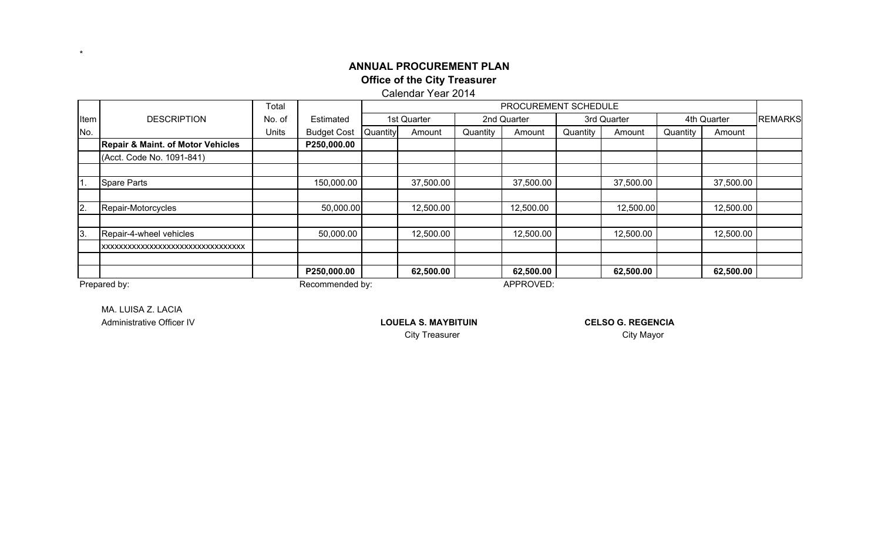Calendar Year 2014

|      |                                              | Total           | PROCUREMENT SCHEDULE |          |             |           |             |          |             |          |             |                |  |
|------|----------------------------------------------|-----------------|----------------------|----------|-------------|-----------|-------------|----------|-------------|----------|-------------|----------------|--|
| Item | <b>DESCRIPTION</b>                           | No. of          | Estimated            |          | 1st Quarter |           | 2nd Quarter |          | 3rd Quarter |          | 4th Quarter | <b>REMARKS</b> |  |
| No.  |                                              | Units           | <b>Budget Cost</b>   | Quantity | Amount      | Quantity  | Amount      | Quantity | Amount      | Quantity | Amount      |                |  |
|      | <b>Repair &amp; Maint. of Motor Vehicles</b> |                 | P250,000.00          |          |             |           |             |          |             |          |             |                |  |
|      | (Acct. Code No. 1091-841)                    |                 |                      |          |             |           |             |          |             |          |             |                |  |
|      |                                              |                 |                      |          |             |           |             |          |             |          |             |                |  |
| 11.  | <b>Spare Parts</b>                           |                 | 150,000.00           |          | 37,500.00   |           | 37,500.00   |          | 37,500.00   |          | 37,500.00   |                |  |
|      |                                              |                 |                      |          |             |           |             |          |             |          |             |                |  |
| 2.   | Repair-Motorcycles                           |                 | 50,000.00            |          | 12,500.00   |           | 12,500.00   |          | 12,500.00   |          | 12,500.00   |                |  |
|      |                                              |                 |                      |          |             |           |             |          |             |          |             |                |  |
| 13.  | Repair-4-wheel vehicles                      |                 | 50,000.00            |          | 12,500.00   |           | 12,500.00   |          | 12,500.00   |          | 12,500.00   |                |  |
|      | XXXXXXXXXXXXXXXXXXXXXXXXXXXXXXXXXX           |                 |                      |          |             |           |             |          |             |          |             |                |  |
|      |                                              |                 |                      |          |             |           |             |          |             |          |             |                |  |
|      |                                              |                 | P250,000.00          |          | 62,500.00   |           | 62,500.00   |          | 62,500.00   |          | 62,500.00   |                |  |
|      | Prepared by:                                 | Recommended by: |                      |          |             | APPROVED: |             |          |             |          |             |                |  |

\*

MA. LUISA Z. LACIAAdministrative Officer IV

**LOUELA S. MAYBITUIN** 

**CELSO G. REGENCIA**City Treasurer **City Mayor**